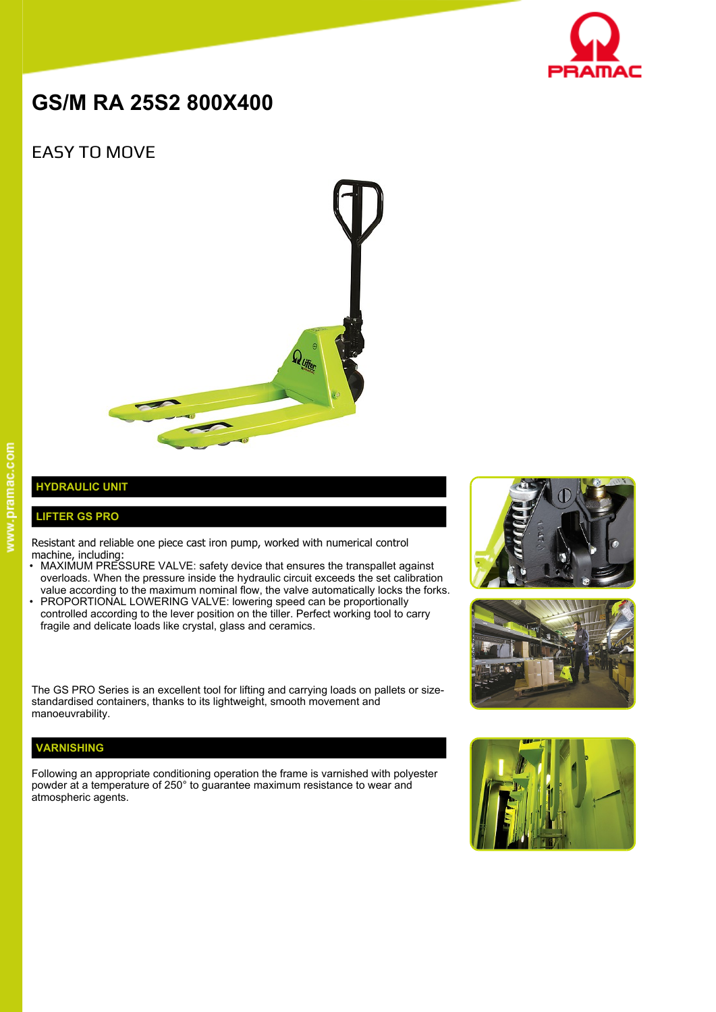

# **GS/M RA 25S2 800X400**

## EASY TO MOVE



### **HYDRAULIC UNIT**

### **LIFTER GS PRO**

Resistant and reliable one piece cast iron pump, worked with numerical control machine, including:

- MAXIMUM PRESSURE VALVE: safety device that ensures the transpallet against overloads. When the pressure inside the hydraulic circuit exceeds the set calibration value according to the maximum nominal flow, the valve automatically locks the forks.
- PROPORTIONAL LOWERING VALVE: lowering speed can be proportionally controlled according to the lever position on the tiller. Perfect working tool to carry fragile and delicate loads like crystal, glass and ceramics.

The GS PRO Series is an excellent tool for lifting and carrying loads on pallets or sizestandardised containers, thanks to its lightweight, smooth movement and manoeuvrability.

#### **VARNISHING**

Following an appropriate conditioning operation the frame is varnished with polyester powder at a temperature of 250° to guarantee maximum resistance to wear and atmospheric agents.





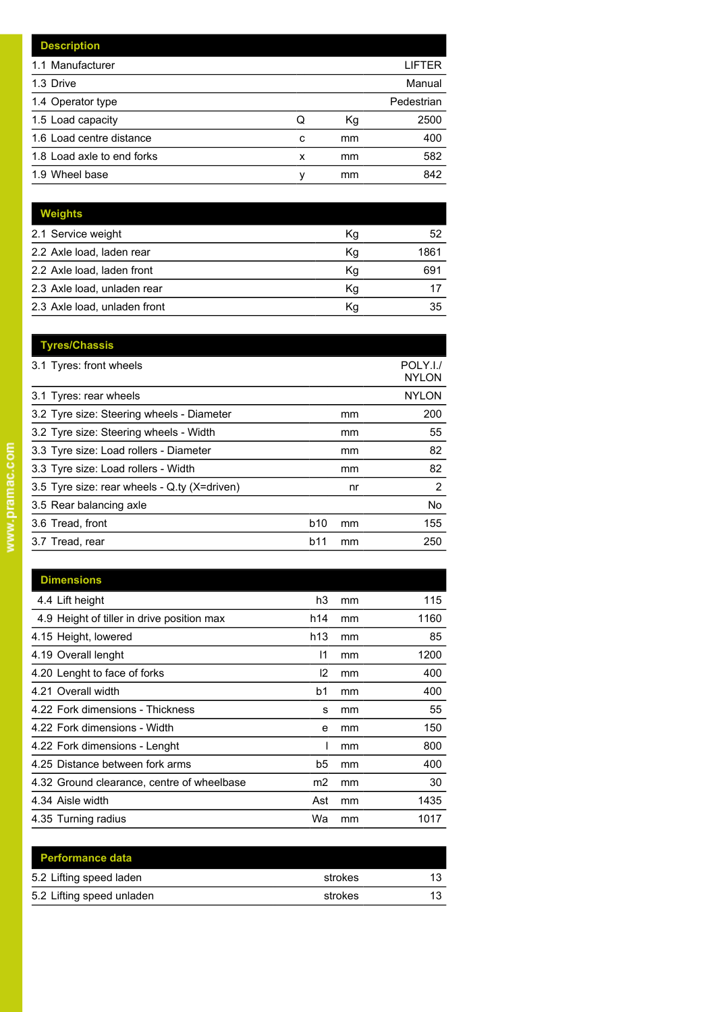|   |    | LIFTER     |
|---|----|------------|
|   |    | Manual     |
|   |    | Pedestrian |
| Q | Кg | 2500       |
| c | mm | 400        |
| x | mm | 582        |
| ν | mm | 842        |
|   |    |            |

| <b>Weights</b>               |    |      |
|------------------------------|----|------|
| 2.1 Service weight           | Кg | 52   |
| 2.2 Axle load, laden rear    | Kg | 1861 |
| 2.2 Axle load, laden front   | Kg | 691  |
| 2.3 Axle load, unladen rear  | Κq |      |
| 2.3 Axle load, unladen front | Κq | 35   |

|            |    | POLY.I./<br><b>NYLON</b> |
|------------|----|--------------------------|
|            |    | <b>NYLON</b>             |
|            | mm | 200                      |
|            | mm | 55                       |
|            | mm | 82                       |
|            | mm | 82                       |
|            | nr | 2                        |
|            |    | No.                      |
| <b>b10</b> | mm | 155                      |
| b11        | mm | 250                      |
|            |    |                          |

| <b>Dimensions</b>                          |                 |    |      |
|--------------------------------------------|-----------------|----|------|
| 4.4 Lift height                            | h3              | mm | 115  |
| 4.9 Height of tiller in drive position max | h14             | mm | 1160 |
| 4.15 Height, lowered                       | h <sub>13</sub> | mm | 85   |
| 4.19 Overall lenght                        | 11              | mm | 1200 |
| 4.20 Lenght to face of forks               | l2              | mm | 400  |
| 4.21 Overall width                         | b1              | mm | 400  |
| 4.22 Fork dimensions - Thickness           | s               | mm | 55   |
| 4.22 Fork dimensions - Width               | e               | mm | 150  |
| 4.22 Fork dimensions - Lenght              |                 | mm | 800  |
| 4.25 Distance between fork arms            | b5              | mm | 400  |
| 4.32 Ground clearance, centre of wheelbase | m2              | mm | 30   |
| 4.34 Aisle width                           | Ast             | mm | 1435 |
| 4.35 Turning radius                        | Wa              | mm | 1017 |

| <b>Performance data</b>   |         |    |
|---------------------------|---------|----|
| 5.2 Lifting speed laden   | strokes | 13 |
| 5.2 Lifting speed unladen | strokes | 13 |
|                           |         |    |